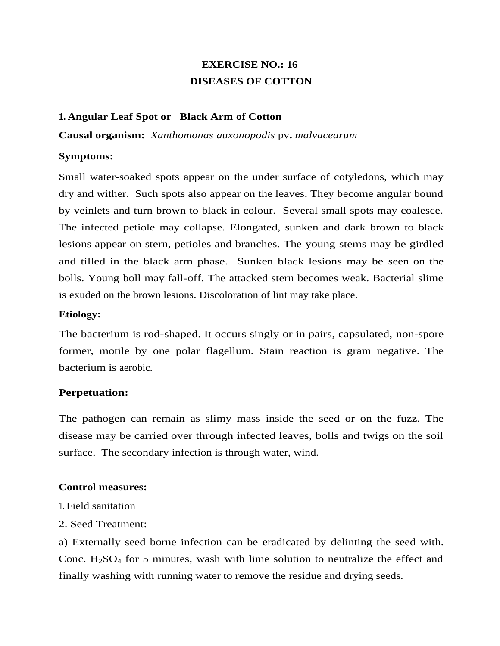# **EXERCISE NO.: 16 DISEASES OF COTTON**

## **1. Angular Leaf Spot or Black Arm of Cotton**

**Causal organism:** *Xanthomonas auxonopodis* pv**.** *malvacearum*

### **Symptoms:**

Small water-soaked spots appear on the under surface of cotyledons, which may dry and wither. Such spots also appear on the leaves. They become angular bound by veinlets and turn brown to black in colour. Several small spots may coalesce. The infected petiole may collapse. Elongated, sunken and dark brown to black lesions appear on stern, petioles and branches. The young stems may be girdled and tilled in the black arm phase. Sunken black lesions may be seen on the bolls. Young boll may fall-off. The attacked stern becomes weak. Bacterial slime is exuded on the brown lesions. Discoloration of lint may take place.

## **Etiology:**

The bacterium is rod-shaped. It occurs singly or in pairs, capsulated, non-spore former, motile by one polar flagellum. Stain reaction is gram negative. The bacterium is aerobic.

# **Perpetuation:**

The pathogen can remain as slimy mass inside the seed or on the fuzz. The disease may be carried over through infected leaves, bolls and twigs on the soil surface. The secondary infection is through water, wind.

### **Control measures:**

- 1. Field sanitation
- 2. Seed Treatment:

a) Externally seed borne infection can be eradicated by delinting the seed with. Conc.  $H_2SO_4$  for 5 minutes, wash with lime solution to neutralize the effect and finally washing with running water to remove the residue and drying seeds.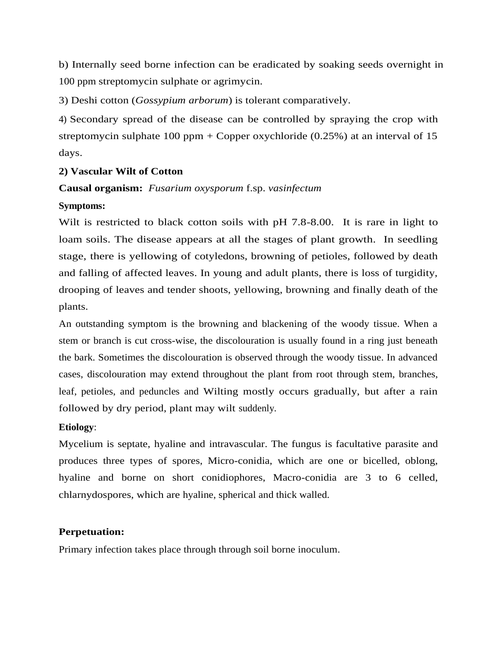b) Internally seed borne infection can be eradicated by soaking seeds overnight in 100 ppm streptomycin sulphate or agrimycin.

3) Deshi cotton (*Gossypium arborum*) is tolerant comparatively.

4) Secondary spread of the disease can be controlled by spraying the crop with streptomycin sulphate  $100$  ppm + Copper oxychloride (0.25%) at an interval of 15 days.

# **2) Vascular Wilt of Cotton**

# **Causal organism:** *Fusarium oxysporum* f.sp. *vasinfectum*

# **Symptoms:**

Wilt is restricted to black cotton soils with pH 7.8-8.00. It is rare in light to loam soils. The disease appears at all the stages of plant growth. In seedling stage, there is yellowing of cotyledons, browning of petioles, followed by death and falling of affected leaves. In young and adult plants, there is loss of turgidity, drooping of leaves and tender shoots, yellowing, browning and finally death of the plants.

An outstanding symptom is the browning and blackening of the woody tissue. When a stem or branch is cut cross-wise, the discolouration is usually found in a ring just beneath the bark. Sometimes the discolouration is observed through the woody tissue. In advanced cases, discolouration may extend throughout the plant from root through stem, branches, leaf, petioles, and peduncles and Wilting mostly occurs gradually, but after a rain followed by dry period, plant may wilt suddenly.

# **Etiology**:

Mycelium is septate, hyaline and intravascular. The fungus is facultative parasite and produces three types of spores, Micro-conidia, which are one or bicelled, oblong, hyaline and borne on short conidiophores, Macro-conidia are 3 to 6 celled, chlarnydospores, which are hyaline, spherical and thick walled.

# **Perpetuation:**

Primary infection takes place through through soil borne inoculum.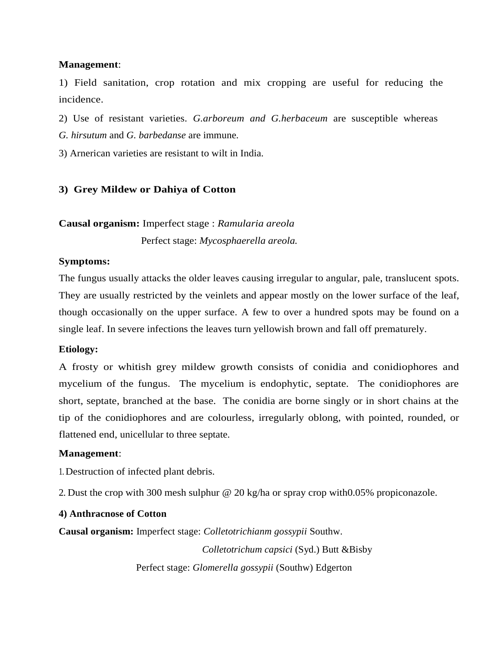1) Field sanitation, crop rotation and mix cropping are useful for reducing the incidence.

2) Use of resistant varieties. *G.arboreum and G.herbaceum* are susceptible whereas *G. hirsutum* and *G. barbedanse* are immune.

3) Arnerican varieties are resistant to wilt in India.

## **3) Grey Mildew or Dahiya of Cotton**

# **Causal organism:** Imperfect stage : *Ramularia areola*

Perfect stage: *Mycosphaerella areola.*

## **Symptoms:**

The fungus usually attacks the older leaves causing irregular to angular, pale, translucent spots. They are usually restricted by the veinlets and appear mostly on the lower surface of the leaf, though occasionally on the upper surface. A few to over a hundred spots may be found on a single leaf. In severe infections the leaves turn yellowish brown and fall off prematurely.

### **Etiology:**

A frosty or whitish grey mildew growth consists of conidia and conidiophores and mycelium of the fungus. The mycelium is endophytic, septate. The conidiophores are short, septate, branched at the base. The conidia are borne singly or in short chains at the tip of the conidiophores and are colourless, irregularly oblong, with pointed, rounded, or flattened end, unicellular to three septate.

### **Management**:

1. Destruction of infected plant debris.

2. Dust the crop with 300 mesh sulphur @ 20 kg/ha or spray crop with0.05% propiconazole.

### **4) Anthracnose of Cotton**

**Causal organism:** Imperfect stage: *Colletotrichianm gossypii* Southw.

 *Colletotrichum capsici* (Syd.) Butt &Bisby Perfect stage: *Glomerella gossypii* (Southw) Edgerton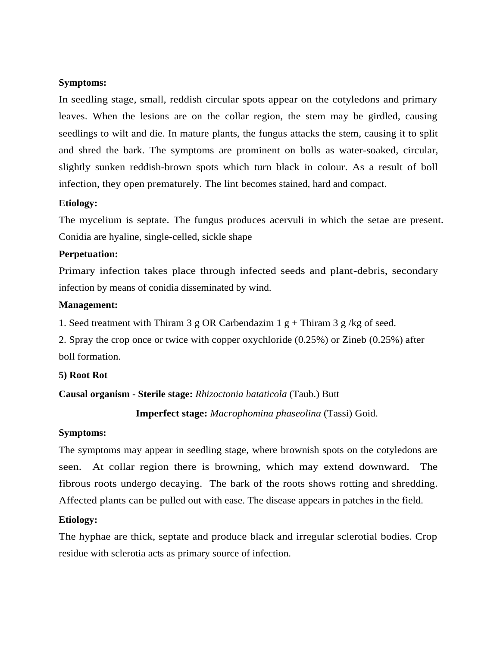#### **Symptoms:**

In seedling stage, small, reddish circular spots appear on the cotyledons and primary leaves. When the lesions are on the collar region, the stem may be girdled, causing seedlings to wilt and die. In mature plants, the fungus attacks the stem, causing it to split and shred the bark. The symptoms are prominent on bolls as water-soaked, circular, slightly sunken reddish-brown spots which turn black in colour. As a result of boll infection, they open prematurely. The lint becomes stained, hard and compact.

#### **Etiology:**

The mycelium is septate. The fungus produces acervuli in which the setae are present. Conidia are hyaline, single-celled, sickle shape

#### **Perpetuation:**

Primary infection takes place through infected seeds and plant-debris, secondary infection by means of conidia disseminated by wind.

#### **Management:**

1. Seed treatment with Thiram 3 g OR Carbendazim 1 g + Thiram 3 g /kg of seed.

2. Spray the crop once or twice with copper oxychloride (0.25%) or Zineb (0.25%) after boll formation.

#### **5) Root Rot**

### **Causal organism - Sterile stage:** *Rhizoctonia bataticola* (Taub.) Butt

 **Imperfect stage:** *Macrophomina phaseolina* (Tassi) Goid.

## **Symptoms:**

The symptoms may appear in seedling stage, where brownish spots on the cotyledons are seen. At collar region there is browning, which may extend downward. The fibrous roots undergo decaying. The bark of the roots shows rotting and shredding. Affected plants can be pulled out with ease. The disease appears in patches in the field.

### **Etiology:**

The hyphae are thick, septate and produce black and irregular sclerotial bodies. Crop residue with sclerotia acts as primary source of infection.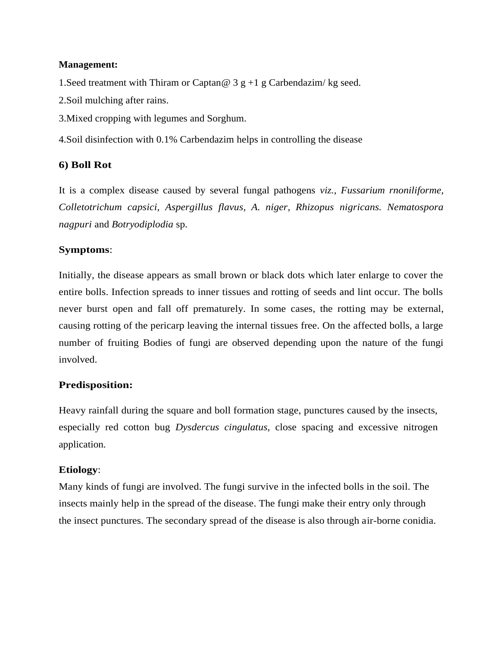1.Seed treatment with Thiram or Captan*@* 3 g +1 g Carbendazim/ kg seed.

2.Soil mulching after rains.

3.Mixed cropping with legumes and Sorghum.

4.Soil disinfection with 0.1% Carbendazim helps in controlling the disease

# **6) Boll Rot**

It is a complex disease caused by several fungal pathogens *viz., Fussarium rnoniliforme, Colletotrichum capsici, Aspergillus flavus, A. niger, Rhizopus nigricans. Nematospora nagpuri* and *Botryodiplodia* sp.

## **Symptoms**:

Initially, the disease appears as small brown or black dots which later enlarge to cover the entire bolls. Infection spreads to inner tissues and rotting of seeds and lint occur. The bolls never burst open and fall off prematurely. In some cases, the rotting may be external, causing rotting of the pericarp leaving the internal tissues free. On the affected bolls, a large number of fruiting Bodies of fungi are observed depending upon the nature of the fungi involved.

# **Predisposition:**

Heavy rainfall during the square and boll formation stage, punctures caused by the insects, especially red cotton bug *Dysdercus cingulatus,* close spacing and excessive nitrogen application.

### **Etiology**:

Many kinds of fungi are involved. The fungi survive in the infected bolls in the soil. The insects mainly help in the spread of the disease. The fungi make their entry only through the insect punctures. The secondary spread of the disease is also through air-borne conidia.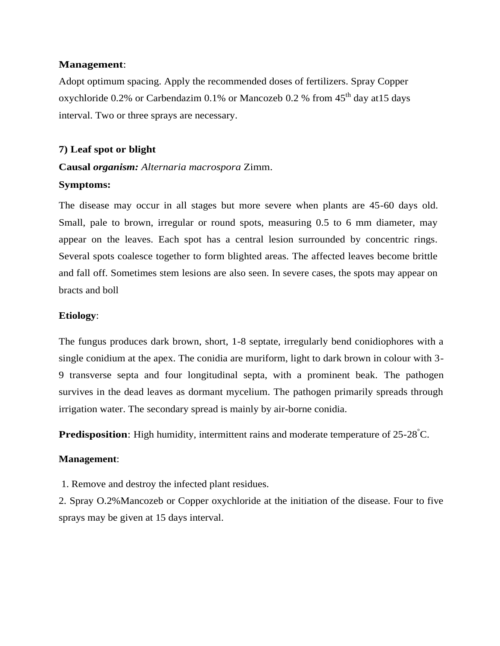Adopt optimum spacing. Apply the recommended doses of fertilizers. Spray Copper oxychloride 0.2% or Carbendazim 0.1% or Mancozeb 0.2 % from  $45<sup>th</sup>$  day at 15 days interval. Two or three sprays are necessary.

### **7) Leaf spot or blight**

# **Causal** *organism: Alternaria macrospora* Zimm. **Symptoms:**

The disease may occur in all stages but more severe when plants are 45-60 days old. Small, pale to brown, irregular or round spots, measuring 0.5 to 6 mm diameter, may appear on the leaves. Each spot has a central lesion surrounded by concentric rings. Several spots coalesce together to form blighted areas. The affected leaves become brittle and fall off. Sometimes stem lesions are also seen. In severe cases, the spots may appear on bracts and boll

## **Etiology**:

The fungus produces dark brown, short, 1-8 septate, irregularly bend conidiophores with a single conidium at the apex. The conidia are muriform, light to dark brown in colour with 3- 9 transverse septa and four longitudinal septa, with a prominent beak. The pathogen survives in the dead leaves as dormant mycelium. The pathogen primarily spreads through irrigation water. The secondary spread is mainly by air-borne conidia.

**Predisposition**: High humidity, intermittent rains and moderate temperature of 25-28°C.

### **Management**:

1. Remove and destroy the infected plant residues.

2. Spray O.2%Mancozeb or Copper oxychloride at the initiation of the disease. Four to five sprays may be given at 15 days interval.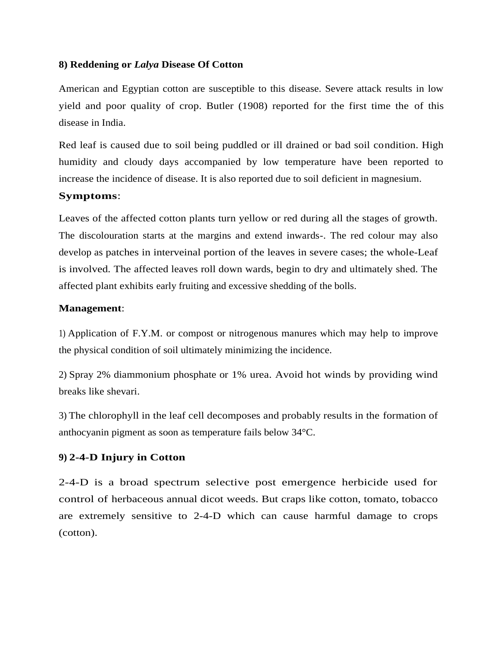#### **8) Reddening or** *Lalya* **Disease Of Cotton**

American and Egyptian cotton are susceptible to this disease. Severe attack results in low yield and poor quality of crop. Butler (1908) reported for the first time the of this disease in India.

Red leaf is caused due to soil being puddled or ill drained or bad soil condition. High humidity and cloudy days accompanied by low temperature have been reported to increase the incidence of disease. It is also reported due to soil deficient in magnesium.

### **Symptoms**:

Leaves of the affected cotton plants turn yellow or red during all the stages of growth. The discolouration starts at the margins and extend inwards-. The red colour may also develop as patches in interveinal portion of the leaves in severe cases; the whole-Leaf is involved. The affected leaves roll down wards, begin to dry and ultimately shed. The affected plant exhibits early fruiting and excessive shedding of the bolls.

### **Management**:

1) Application of F.Y.M. or compost or nitrogenous manures which may help to improve the physical condition of soil ultimately minimizing the incidence.

2) Spray 2% diammonium phosphate or 1% urea. Avoid hot winds by providing wind breaks like shevari.

3) The chlorophyll in the leaf cell decomposes and probably results in the formation of anthocyanin pigment as soon as temperature fails below 34°C.

### **9) 2-4-D Injury in Cotton**

2-4-D is a broad spectrum selective post emergence herbicide used for control of herbaceous annual dicot weeds. But craps like cotton, tomato, tobacco are extremely sensitive to 2-4-D which can cause harmful damage to crops (cotton).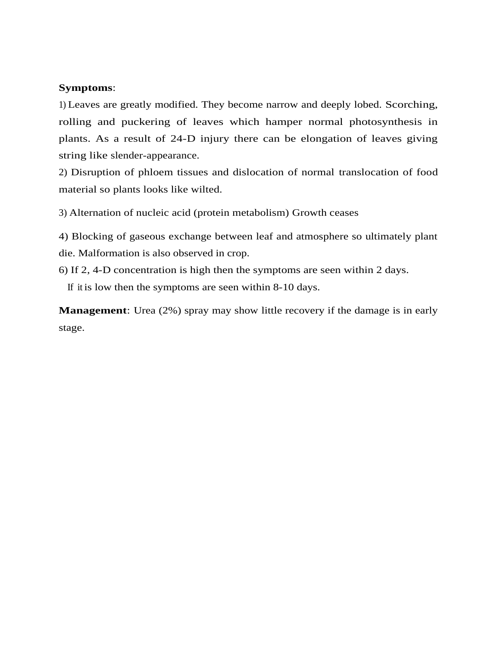#### **Symptoms**:

1) Leaves are greatly modified. They become narrow and deeply lobed. Scorching, rolling and puckering of leaves which hamper normal photosynthesis in plants. As a result of 24-D injury there can be elongation of leaves giving string like slender-appearance.

2) Disruption of phloem tissues and dislocation of normal translocation of food material so plants looks like wilted.

3) Alternation of nucleic acid (protein metabolism) Growth ceases

4) Blocking of gaseous exchange between leaf and atmosphere so ultimately plant die. Malformation is also observed in crop.

6) If 2, 4-D concentration is high then the symptoms are seen within 2 days.

If it is low then the symptoms are seen within 8-10 days.

**Management**: Urea (2%) spray may show little recovery if the damage is in early stage.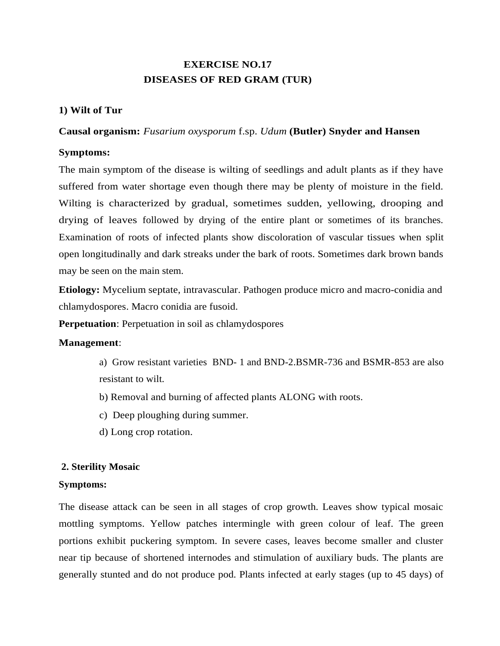# **EXERCISE NO.17 DISEASES OF RED GRAM (TUR)**

# **1) Wilt of Tur**

### **Causal organism:** *Fusarium oxysporum* f.sp. *Udum* **(Butler) Snyder and Hansen**

## **Symptoms:**

The main symptom of the disease is wilting of seedlings and adult plants as if they have suffered from water shortage even though there may be plenty of moisture in the field. Wilting is characterized by gradual, sometimes sudden, yellowing, drooping and drying of leaves followed by drying of the entire plant or sometimes of its branches. Examination of roots of infected plants show discoloration of vascular tissues when split open longitudinally and dark streaks under the bark of roots. Sometimes dark brown bands may be seen on the main stem.

**Etiology:** Mycelium septate, intravascular. Pathogen produce micro and macro-conidia and chlamydospores. Macro conidia are fusoid.

**Perpetuation**: Perpetuation in soil as chlamydospores

# **Management**:

- a) Grow resistant varieties BND- 1 and BND-2.BSMR-736 and BSMR-853 are also resistant to wilt.
- b) Removal and burning of affected plants ALONG with roots.
- c) Deep ploughing during summer.
- d) Long crop rotation.

# **2. Sterility Mosaic**

### **Symptoms:**

The disease attack can be seen in all stages of crop growth. Leaves show typical mosaic mottling symptoms. Yellow patches intermingle with green colour of leaf. The green portions exhibit puckering symptom. In severe cases, leaves become smaller and cluster near tip because of shortened internodes and stimulation of auxiliary buds. The plants are generally stunted and do not produce pod. Plants infected at early stages (up to 45 days) of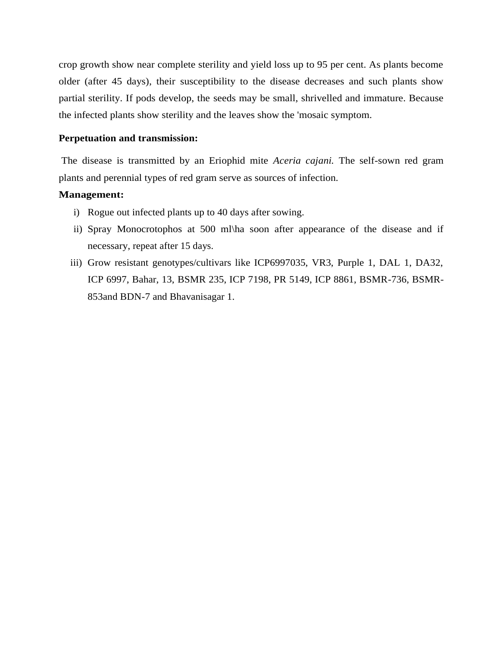crop growth show near complete sterility and yield loss up to 95 per cent. As plants become older (after 45 days), their susceptibility to the disease decreases and such plants show partial sterility. If pods develop, the seeds may be small, shrivelled and immature. Because the infected plants show sterility and the leaves show the 'mosaic symptom.

#### **Perpetuation and transmission:**

The disease is transmitted by an Eriophid mite *Aceria cajani.* The self-sown red gram plants and perennial types of red gram serve as sources of infection.

## **Management:**

- i) Rogue out infected plants up to 40 days after sowing.
- ii) Spray Monocrotophos at 500 ml\ha soon after appearance of the disease and if necessary, repeat after 15 days.
- iii) Grow resistant genotypes/cultivars like ICP6997035, VR3, Purple 1, DAL 1, DA32, ICP 6997, Bahar, 13, BSMR 235, ICP 7198, PR 5149, ICP 8861, BSMR-736, BSMR-853and BDN-7 and Bhavanisagar 1.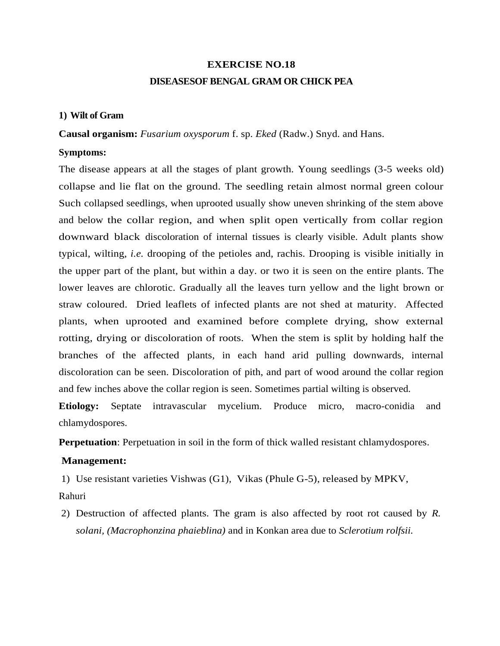# **EXERCISE NO.18 DISEASESOF BENGAL GRAM OR CHICK PEA**

## **1) Wilt of Gram**

**Causal organism:** *Fusarium oxysporum* f. sp. *Eked* (Radw.) Snyd. and Hans.

#### **Symptoms:**

The disease appears at all the stages of plant growth. Young seedlings (3-5 weeks old) collapse and lie flat on the ground. The seedling retain almost normal green colour Such collapsed seedlings, when uprooted usually show uneven shrinking of the stem above and below the collar region, and when split open vertically from collar region downward black discoloration of internal tissues is clearly visible. Adult plants show typical, wilting, *i.e.* drooping of the petioles and, rachis. Drooping is visible initially in the upper part of the plant, but within a day. or two it is seen on the entire plants. The lower leaves are chlorotic. Gradually all the leaves turn yellow and the light brown or straw coloured. Dried leaflets of infected plants are not shed at maturity. Affected plants, when uprooted and examined before complete drying, show external rotting, drying or discoloration of roots. When the stem is split by holding half the branches of the affected plants, in each hand arid pulling downwards, internal discoloration can be seen. Discoloration of pith, and part of wood around the collar region and few inches above the collar region is seen. Sometimes partial wilting is observed.

**Etiology:** Septate intravascular mycelium. Produce micro, macro-conidia and chlamydospores.

**Perpetuation**: Perpetuation in soil in the form of thick walled resistant chlamydospores.

#### **Management:**

1) Use resistant varieties Vishwas (G1), Vikas (Phule G-5), released by MPKV,

Rahuri

2) Destruction of affected plants. The gram is also affected by root rot caused by *R. solani, (Macrophonzina phaieblina)* and in Konkan area due to *Sclerotium rolfsii.*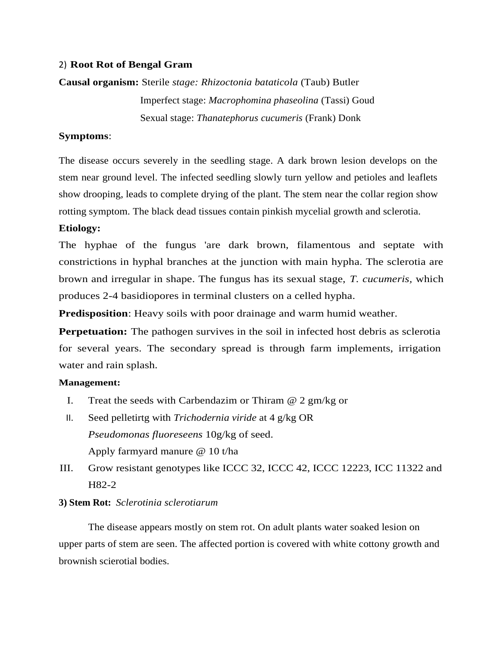## 2) **Root Rot of Bengal Gram**

# **Causal organism:** Sterile *stage: Rhizoctonia bataticola* (Taub) Butler Imperfect stage: *Macrophomina phaseolina* (Tassi) Goud Sexual stage: *Thanatephorus cucumeris* (Frank) Donk

## **Symptoms**:

The disease occurs severely in the seedling stage. A dark brown lesion develops on the stem near ground level. The infected seedling slowly turn yellow and petioles and leaflets show drooping, leads to complete drying of the plant. The stem near the collar region show rotting symptom. The black dead tissues contain pinkish mycelial growth and sclerotia.

## **Etiology:**

The hyphae of the fungus 'are dark brown, filamentous and septate with constrictions in hyphal branches at the junction with main hypha. The sclerotia are brown and irregular in shape. The fungus has its sexual stage, *T. cucumeris,* which produces 2-4 basidiopores in terminal clusters on a celled hypha.

**Predisposition**: Heavy soils with poor drainage and warm humid weather.

**Perpetuation:** The pathogen survives in the soil in infected host debris as sclerotia for several years. The secondary spread is through farm implements, irrigation water and rain splash.

### **Management:**

- I. Treat the seeds with Carbendazim or Thiram  $@$  2 gm/kg or
- II. Seed pelletirtg with *Trichodernia viride* at 4 g/kg OR *Pseudomonas fluoreseens* 10g/kg of seed. Apply farmyard manure @ 10 t/ha
- III. Grow resistant genotypes like ICCC 32, ICCC 42, ICCC 12223, ICC 11322 and H82-2

# **3) Stem Rot:** *Sclerotinia sclerotiarum*

The disease appears mostly on stem rot. On adult plants water soaked lesion on upper parts of stem are seen. The affected portion is covered with white cottony growth and brownish scierotial bodies.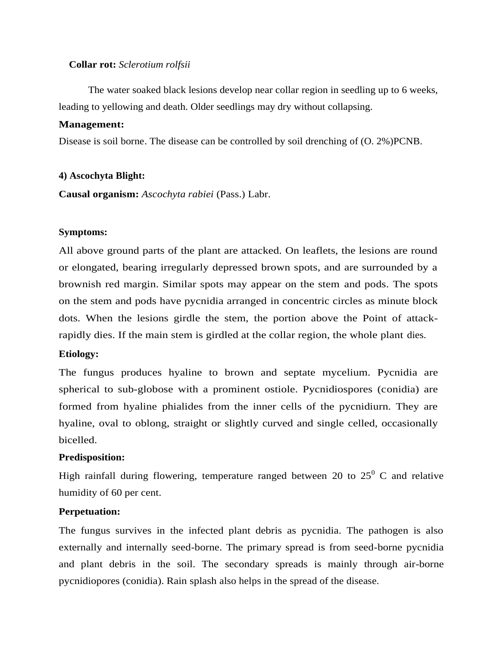#### **Collar rot:** *Sclerotium rolfsii*

The water soaked black lesions develop near collar region in seedling up to 6 weeks, leading to yellowing and death. Older seedlings may dry without collapsing.

#### **Management:**

Disease is soil borne. The disease can be controlled by soil drenching of (O. 2%)PCNB.

#### **4) Ascochyta Blight:**

**Causal organism:** *Ascochyta rabiei* (Pass.) Labr.

#### **Symptoms:**

All above ground parts of the plant are attacked. On leaflets, the lesions are round or elongated, bearing irregularly depressed brown spots, and are surrounded by a brownish red margin. Similar spots may appear on the stem and pods. The spots on the stem and pods have pycnidia arranged in concentric circles as minute block dots. When the lesions girdle the stem, the portion above the Point of attackrapidly dies. If the main stem is girdled at the collar region, the whole plant dies.

#### **Etiology:**

The fungus produces hyaline to brown and septate mycelium. Pycnidia are spherical to sub-globose with a prominent ostiole. Pycnidiospores (conidia) are formed from hyaline phialides from the inner cells of the pycnidiurn. They are hyaline, oval to oblong, straight or slightly curved and single celled, occasionally bicelled.

#### **Predisposition:**

High rainfall during flowering, temperature ranged between 20 to  $25^{\circ}$  C and relative humidity of 60 per cent.

#### **Perpetuation:**

The fungus survives in the infected plant debris as pycnidia. The pathogen is also externally and internally seed-borne. The primary spread is from seed-borne pycnidia and plant debris in the soil. The secondary spreads is mainly through air-borne pycnidiopores (conidia). Rain splash also helps in the spread of the disease.